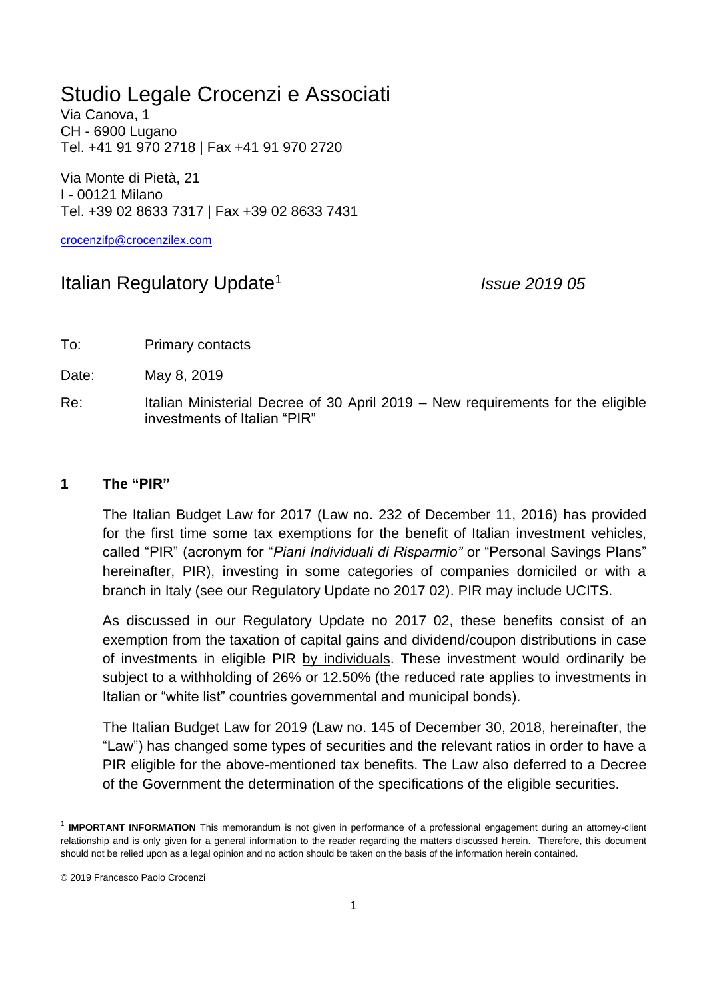# Studio Legale Crocenzi e Associati

Via Canova, 1 CH - 6900 Lugano Tel. +41 91 970 2718 | Fax +41 91 970 2720

Via Monte di Pietà, 21 I - 00121 Milano Tel. +39 02 8633 7317 | Fax +39 02 8633 7431

[crocenzifp@crocenzilex.com](mailto:crocenzifp@crocenzilex.com)

## Italian Regulatory Update<sup>1</sup>

*Issue 2019 05*

To: Primary contacts

Date: May 8, 2019

Re: Italian Ministerial Decree of 30 April 2019 – New requirements for the eligible investments of Italian "PIR"

#### **1 The "PIR"**

The Italian Budget Law for 2017 (Law no. 232 of December 11, 2016) has provided for the first time some tax exemptions for the benefit of Italian investment vehicles, called "PIR" (acronym for "*Piani Individuali di Risparmio"* or "Personal Savings Plans" hereinafter, PIR), investing in some categories of companies domiciled or with a branch in Italy (see our Regulatory Update no 2017 02). PIR may include UCITS.

As discussed in our Regulatory Update no 2017 02, these benefits consist of an exemption from the taxation of capital gains and dividend/coupon distributions in case of investments in eligible PIR by individuals. These investment would ordinarily be subject to a withholding of 26% or 12.50% (the reduced rate applies to investments in Italian or "white list" countries governmental and municipal bonds).

The Italian Budget Law for 2019 (Law no. 145 of December 30, 2018, hereinafter, the "Law") has changed some types of securities and the relevant ratios in order to have a PIR eligible for the above-mentioned tax benefits. The Law also deferred to a Decree of the Government the determination of the specifications of the eligible securities.

**.** 

<sup>&</sup>lt;sup>1</sup> IMPORTANT INFORMATION This memorandum is not given in performance of a professional engagement during an attorney-client relationship and is only given for a general information to the reader regarding the matters discussed herein. Therefore, this document should not be relied upon as a legal opinion and no action should be taken on the basis of the information herein contained.

<sup>© 2019</sup> Francesco Paolo Crocenzi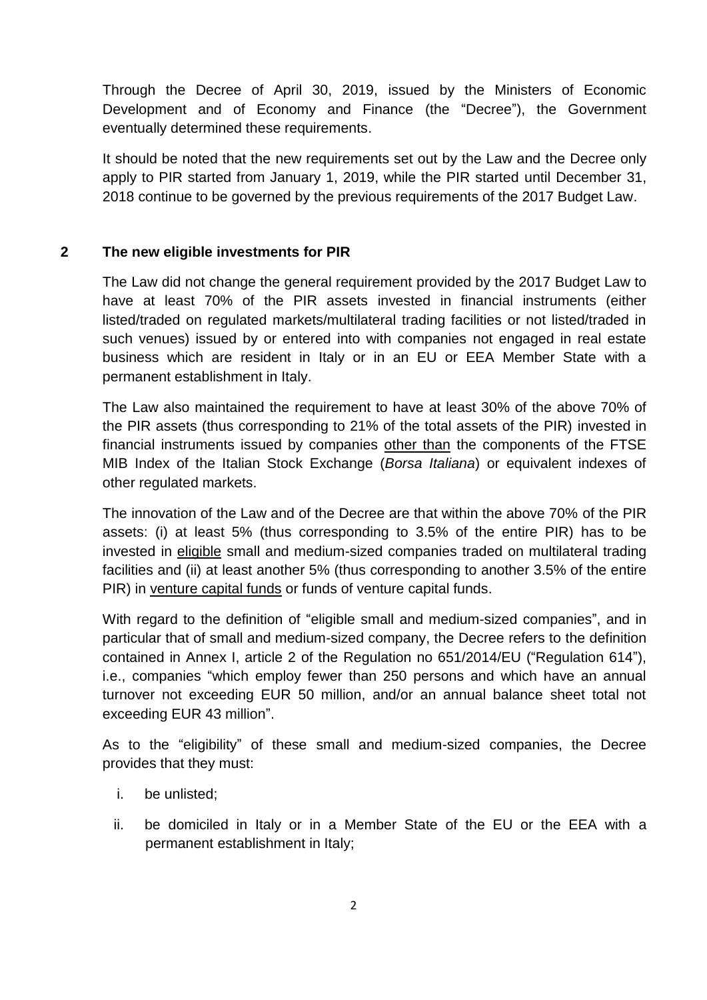Through the Decree of April 30, 2019, issued by the Ministers of Economic Development and of Economy and Finance (the "Decree"), the Government eventually determined these requirements.

It should be noted that the new requirements set out by the Law and the Decree only apply to PIR started from January 1, 2019, while the PIR started until December 31, 2018 continue to be governed by the previous requirements of the 2017 Budget Law.

## **2 The new eligible investments for PIR**

The Law did not change the general requirement provided by the 2017 Budget Law to have at least 70% of the PIR assets invested in financial instruments (either listed/traded on regulated markets/multilateral trading facilities or not listed/traded in such venues) issued by or entered into with companies not engaged in real estate business which are resident in Italy or in an EU or EEA Member State with a permanent establishment in Italy.

The Law also maintained the requirement to have at least 30% of the above 70% of the PIR assets (thus corresponding to 21% of the total assets of the PIR) invested in financial instruments issued by companies other than the components of the FTSE MIB Index of the Italian Stock Exchange (*Borsa Italiana*) or equivalent indexes of other regulated markets.

The innovation of the Law and of the Decree are that within the above 70% of the PIR assets: (i) at least 5% (thus corresponding to 3.5% of the entire PIR) has to be invested in eligible small and medium-sized companies traded on multilateral trading facilities and (ii) at least another 5% (thus corresponding to another 3.5% of the entire PIR) in venture capital funds or funds of venture capital funds.

With regard to the definition of "eligible small and medium-sized companies", and in particular that of small and medium-sized company, the Decree refers to the definition contained in Annex I, article 2 of the Regulation no 651/2014/EU ("Regulation 614"), i.e., companies "which employ fewer than 250 persons and which have an annual turnover not exceeding EUR 50 million, and/or an annual balance sheet total not exceeding EUR 43 million".

As to the "eligibility" of these small and medium-sized companies, the Decree provides that they must:

- i. be unlisted;
- ii. be domiciled in Italy or in a Member State of the EU or the EEA with a permanent establishment in Italy;